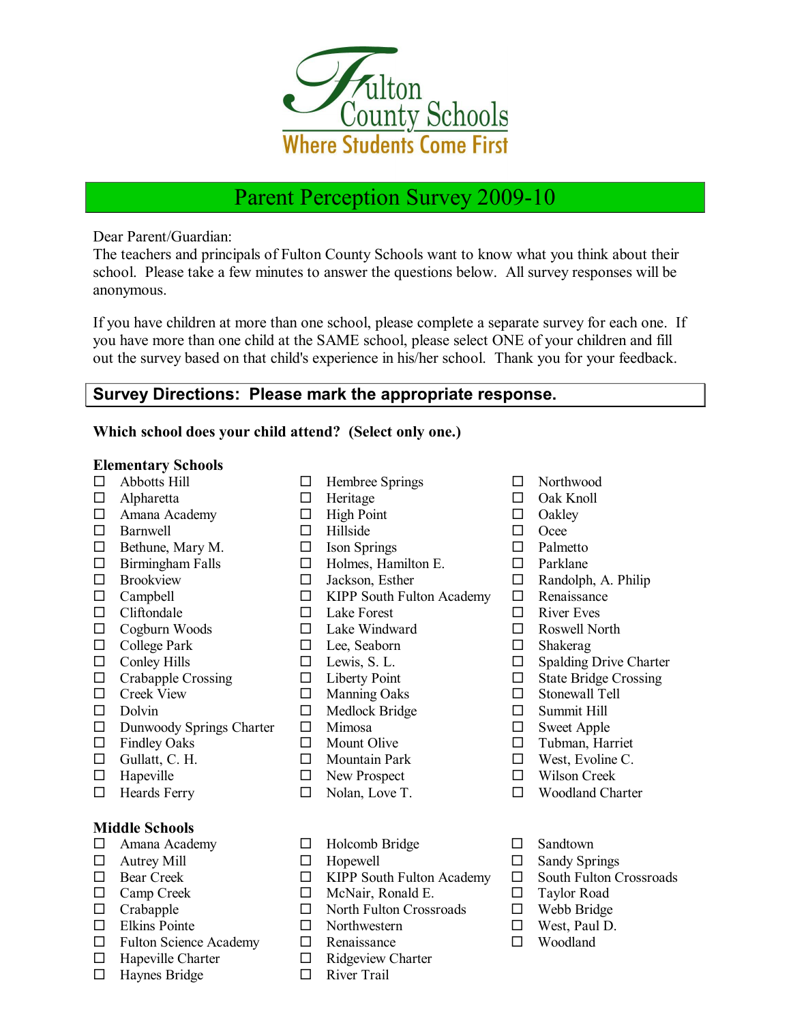

# Parent Perception Survey 2009-10

Dear Parent/Guardian:

The teachers and principals of Fulton County Schools want to know what you think about their school. Please take a few minutes to answer the questions below. All survey responses will be anonymous.

If you have children at more than one school, please complete a separate survey for each one. If you have more than one child at the SAME school, please select ONE of your children and fill out the survey based on that child's experience in his/her school. Thank you for your feedback.

# **Survey Directions: Please mark the appropriate response.**

#### **Which school does your child attend? (Select only one.)**

#### **Elementary Schools**

- 
- 
- $\begin{array}{ccc}\n\square & \text{Amana Academy} \\
\square & \text{High Point} \\
\square & \text{Hilside}\n\end{array}$   $\begin{array}{ccc}\n\square & \text{Oakley} \\
\square & \text{Oace}\n\end{array}$  $\square$  Barnwell
- $\Box$  Bethune, Mary M.  $\Box$  Ison Springs  $\Box$  Palmetto
- 
- 
- 
- $\Box$  Cliftondale  $\Box$  Lake Forest  $\Box$  River Eves
- $\Box$  Cogburn Woods  $\Box$  Lake Windward  $\Box$  Roswell North
- □ College Park □ Lee, Seaborn □ Shakerag □ Conley Hills □ Lee, Seaborn □ Shakerag □ Shakerag
- 
- 
- 
- 
- □ Dunwoody Springs Charter □ Mimosa □ Sweet Apple<br>□ Findley Oaks □ Mount Olive □ Tubman, Har
- 
- $\Box$  Gullatt, C. H.  $\Box$  Mountain Park  $\Box$  West, Evoline C.
- $\Box$  Hapeville  $\Box$  New Prospect  $\Box$  Wilson Creek
- 

## **Middle Schools**

- $\Box$  Amana Academy  $\Box$  Holcomb Bridge  $\Box$  Sandtown  $\Box$  Autrey Mill  $\Box$  Hopewell  $\Box$  Sandy Spr
- 
- 
- 
- 
- $\Box$  Elkins Pointe  $\Box$  Northwestern  $\Box$  West, Paul D.
- $\Box$  Fulton Science Academy  $\Box$  Renaissance  $\Box$  Woodland
- 
- $\Box$  Haynes Bridge  $\Box$  River Trail
- $\Box$  Abbotts Hill  $\Box$  Hembree Springs  $\Box$  Northwood
	-
	-
	-
	-
- □ Birmingham Falls □ Holmes, Hamilton E. □ Parklane<br>□ Brookview □ Jackson, Esther □ Randolph
	-
- $\Box$  Campbell  $\Box$  KIPP South Fulton Academy  $\Box$  Renaissance
	-
	-
	-
	-
	-
	-
	- $\Box$  Medlock Bridge  $\Box$  Summit Hill
	-
	-
	-
	-
	-
	-
	-
- $\Box$  Bear Creek  $\Box$  KIPP South Fulton Academy  $\Box$  South Fulton Crossroads
- $\square$  Camp Creek  $\square$  McNair, Ronald E.  $\square$  Taylor Road
- $\Box$  Crabapple  $\Box$  North Fulton Crossroads  $\Box$  Webb Bridge
	-
	-
- $\Box$  Hapeville Charter  $\Box$  Ridgeview Charter
	-
- 
- $\Box$  Alpharetta  $\Box$  Heritage  $\Box$  Oak Knoll
	-
	-
	-
	-
	- $\Box$  Jackson, Esther  $\Box$  Randolph, A. Philip
		-
		-
		-
		-
	- $\square$  Lewis, S. L.  $\square$  Spalding Drive Charter
- $\Box$  Crabapple Crossing  $\Box$  Liberty Point  $\Box$  State Bridge Crossing
- □ Creek View □ Manning Oaks □ Stonewall Tell<br>□ Dolvin □ Medlock Bridge □ Summit Hill
	-
	-
	- $\square$  Tubman, Harriet
	-
	-
- $\Box$  Heards Ferry  $\Box$  Nolan, Love T.  $\Box$  Woodland Charter
	-
- $\Box$  Autrey Mill  $\Box$  Hopewell  $\Box$  Sandy Springs
	-
	-
	-
	-
	-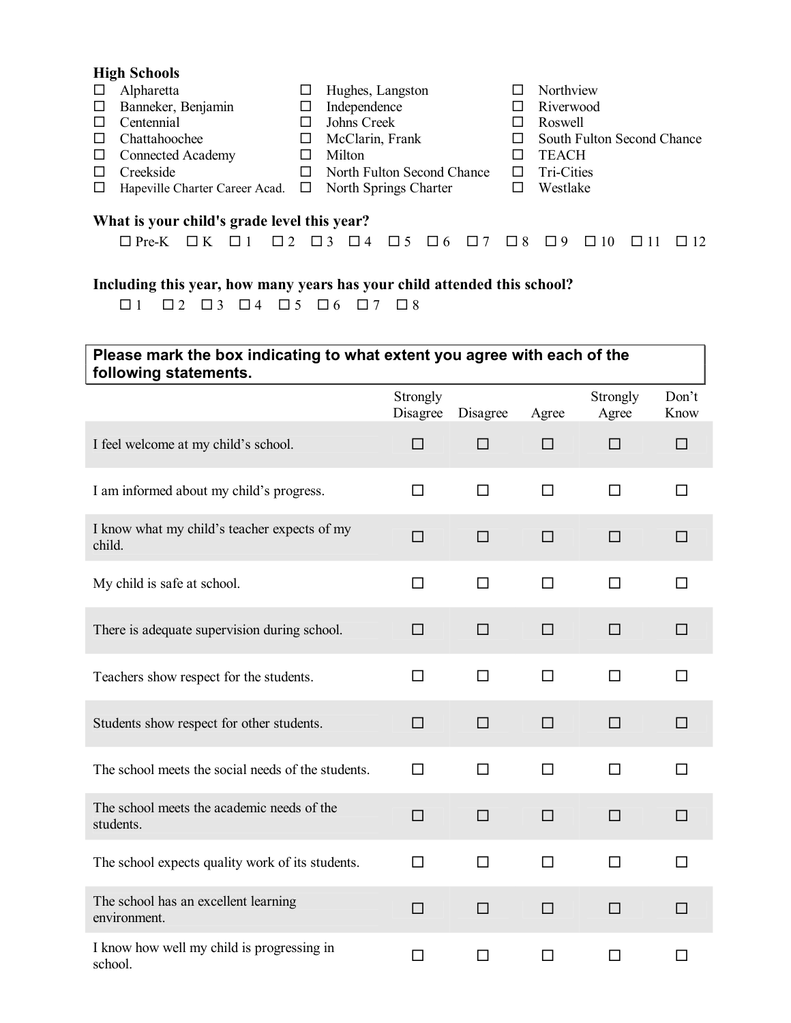| <b>High Schools</b> |                                                             |   |                            |  |                            |  |  |  |  |
|---------------------|-------------------------------------------------------------|---|----------------------------|--|----------------------------|--|--|--|--|
| $\Box$              | Alpharetta                                                  | ப | Hughes, Langston           |  | Northview                  |  |  |  |  |
| $\Box$              | Banneker, Benjamin                                          |   | Independence               |  | Riverwood                  |  |  |  |  |
| $\Box$              | Centennial                                                  |   | Johns Creek                |  | Roswell                    |  |  |  |  |
|                     | Chattahoochee                                               | ப | McClarin, Frank            |  | South Fulton Second Chance |  |  |  |  |
| $\Box$              | <b>Connected Academy</b>                                    |   | Milton                     |  | <b>TEACH</b>               |  |  |  |  |
|                     | Creekside                                                   |   | North Fulton Second Chance |  | Tri-Cities                 |  |  |  |  |
| $\Box$              | Hapeville Charter Career Acad. $\Box$ North Springs Charter |   |                            |  | Westlake                   |  |  |  |  |
|                     | What is varry abildly guade level this veget?               |   |                            |  |                            |  |  |  |  |

#### **What is your child's grade level this year?**

| $\Box$ Pre-K $\Box$ K $\Box$ 1 $\Box$ 2 $\Box$ 3 $\Box$ 4 $\Box$ 5 $\Box$ 6 $\Box$ 7 $\Box$ 8 $\Box$ 9 $\Box$ 10 $\Box$ 11 $\Box$ 12 |  |  |  |  |  |  |  |
|--------------------------------------------------------------------------------------------------------------------------------------|--|--|--|--|--|--|--|

## **Including this year, how many years has your child attended this school?**

|  |  | $\Box$ 1 $\Box$ 2 $\Box$ 3 $\Box$ 4 $\Box$ 5 $\Box$ 6 $\Box$ 7 $\Box$ 8 |  |  |
|--|--|-------------------------------------------------------------------------|--|--|
|  |  |                                                                         |  |  |

# **Please mark the box indicating to what extent you agree with each of the following statements.**

|                                                         | Strongly<br>Disagree | Disagree | Agree  | Strongly<br>Agree | Don't<br>Know |
|---------------------------------------------------------|----------------------|----------|--------|-------------------|---------------|
| I feel welcome at my child's school.                    | $\Box$               | □        | $\Box$ | $\Box$            | $\Box$        |
| I am informed about my child's progress.                | □                    | □        | $\Box$ | □                 | □             |
| I know what my child's teacher expects of my<br>child.  | $\Box$               | $\Box$   | $\Box$ | $\Box$            | $\Box$        |
| My child is safe at school.                             | □                    | $\Box$   | $\Box$ | $\Box$            | $\Box$        |
| There is adequate supervision during school.            | □                    | □        | $\Box$ | □                 | $\Box$        |
| Teachers show respect for the students.                 | □                    | $\Box$   | □      | □                 | $\Box$        |
| Students show respect for other students.               | □                    | $\Box$   | □      | □                 | $\Box$        |
| The school meets the social needs of the students.      | П                    | $\Box$   | □      | $\Box$            | П             |
| The school meets the academic needs of the<br>students. | □                    | $\Box$   | $\Box$ | $\Box$            | $\Box$        |
| The school expects quality work of its students.        | $\Box$               | $\Box$   | $\Box$ | $\Box$            | $\Box$        |
| The school has an excellent learning<br>environment.    | $\Box$               | $\Box$   | $\Box$ | $\Box$            | $\Box$        |
| I know how well my child is progressing in<br>school.   | □                    | $\Box$   | $\Box$ | □                 | □             |